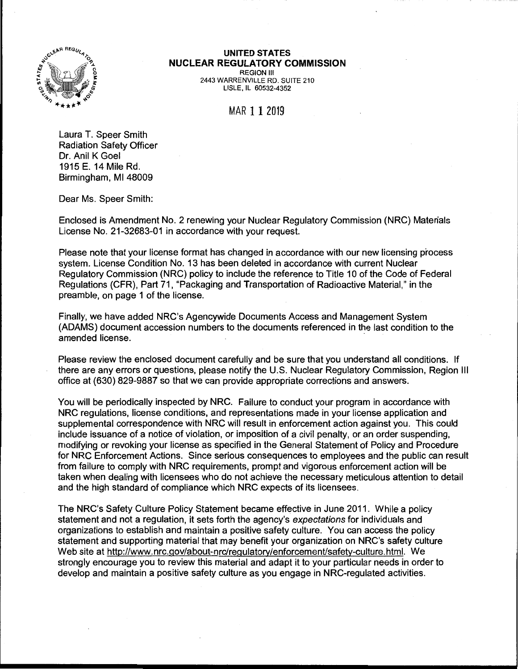

## **UNITED STATES NUCLEAR REGULATORY COMMISSION**

REGION Ill 2443 WARRENVILLE RD. SUITE 210 LISLE, IL 60532-4352

MAR 11 2019

Laura T. Speer Smith Radiation Safety Officer Dr. Anil K Goel 1915 E. 14 Mile Rd. Birmingham, Ml 48009

Dear Ms. Speer Smith:

Enclosed is Amendment No. 2 renewing your Nuclear Regulatory Commission (NRG) Materials License No. 21-32683-01 in accordance with your request.

Please note that your license format has changed in accordance with our new licensing process system. License Condition No. 13 has been deleted in accordance with current Nuclear Regulatory Commission (NRC) policy to include the reference to Title 10 of the Code of Federal Regulations (CFR), Part 71, "Packaging and Transportation of Radioactive Material," in the preamble, on page 1 of the license.

Finally, we have added NRC's Agencywide Documents Access and Management System (ADAMS) document accession numbers to the documents referenced in the last condition to the amended license.

Please review the enclosed document carefully and be sure that you understand all conditions. If there are any errors or questions, please notify the U.S. Nuclear Regulatory Commission, Region Ill office at (630) 829-9887 so that we can provide appropriate corrections and answers.

You will be periodically inspected by NRG. Failure to conduct your program in accordance with NRG regulations, license conditions, and representations made in your license application and supplemental correspondence with NRG will result in enforcement action against you. This could include issuance of a notice of violation, or imposition of a civil penalty, or an order suspending, modifying or revoking your license as specified in the General Statement of Policy and Procedure for NRG Enforcement Actions. Since serious consequences to employees and the public can result from failure to comply with NRG requirements, prompt and vigorous enforcement action will be taken when dealing with licensees who do not achieve the necessary meticulous attention to detail and the high standard of compliance which NRG expects of its licensees.

The NRC's Safety Culture Policy Statement became effective in June 2011. While a policy statement and not a regulation, it sets forth the agency's expectations for individuals and organizations to establish and maintain a positive safety culture. You can access the policy statement and supporting material that may benefit your organization on NRC's safety culture Web site at http://www.nrc.gov/about-nrc/regulatory/enforcement/safety-culture.html. We strongly encourage you to review this material and adapt it to your particular needs in order to develop and maintain a positive safety culture as you engage in NRG-regulated activities.